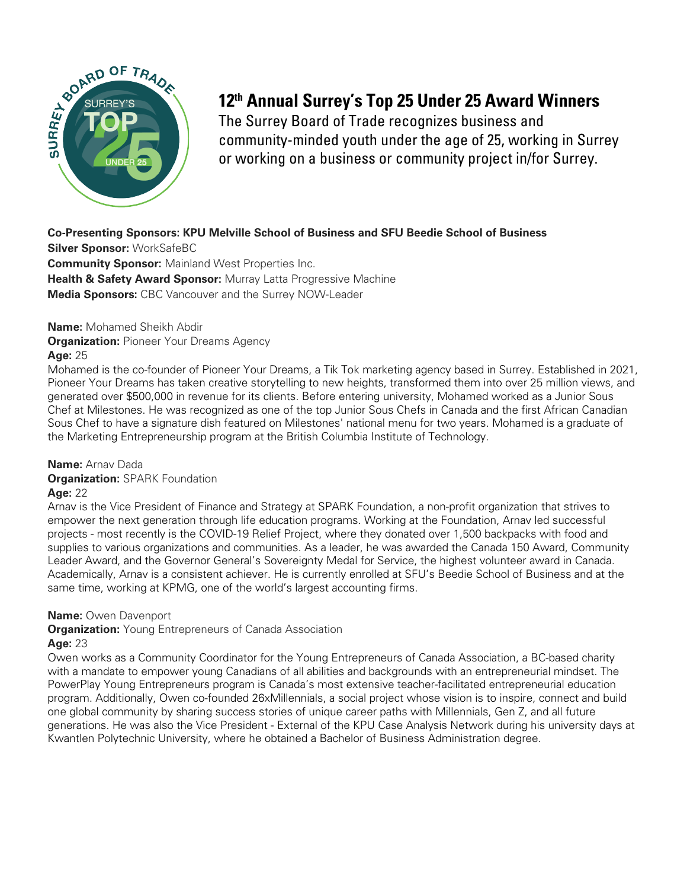

# **12th Annual Surrey's Top 25 Under 25 Award Winners**

The Surrey Board of Trade recognizes business and community-minded youth under the age of 25, working in Surrey or working on a business or community project in/for Surrey.

# **Co-Presenting Sponsors: KPU Melville School of Business and SFU Beedie School of Business**

**Silver Sponsor:** WorkSafeBC **Community Sponsor:** Mainland West Properties Inc. **Health & Safety Award Sponsor:** Murray Latta Progressive Machine **Media Sponsors:** CBC Vancouver and the Surrey NOW-Leader

# **Name:** Mohamed Sheikh Abdir

**Organization: Pioneer Your Dreams Agency** 

# **Age:** 25

Mohamed is the co-founder of Pioneer Your Dreams, a Tik Tok marketing agency based in Surrey. Established in 2021, Pioneer Your Dreams has taken creative storytelling to new heights, transformed them into over 25 million views, and generated over \$500,000 in revenue for its clients. Before entering university, Mohamed worked as a Junior Sous Chef at Milestones. He was recognized as one of the top Junior Sous Chefs in Canada and the first African Canadian Sous Chef to have a signature dish featured on Milestones' national menu for two years. Mohamed is a graduate of the Marketing Entrepreneurship program at the British Columbia Institute of Technology.

# **Name:** Arnav Dada

**Organization:** SPARK Foundation

# **Age:** 22

Arnav is the Vice President of Finance and Strategy at SPARK Foundation, a non-profit organization that strives to empower the next generation through life education programs. Working at the Foundation, Arnav led successful projects - most recently is the COVID-19 Relief Project, where they donated over 1,500 backpacks with food and supplies to various organizations and communities. As a leader, he was awarded the Canada 150 Award, Community Leader Award, and the Governor General's Sovereignty Medal for Service, the highest volunteer award in Canada. Academically, Arnav is a consistent achiever. He is currently enrolled at SFU's Beedie School of Business and at the same time, working at KPMG, one of the world's largest accounting firms.

# **Name:** Owen Davenport

**Organization:** Young Entrepreneurs of Canada Association

# **Age:** 23

Owen works as a Community Coordinator for the Young Entrepreneurs of Canada Association, a BC-based charity with a mandate to empower young Canadians of all abilities and backgrounds with an entrepreneurial mindset. The PowerPlay Young Entrepreneurs program is Canada's most extensive teacher-facilitated entrepreneurial education program. Additionally, Owen co-founded 26xMillennials, a social project whose vision is to inspire, connect and build one global community by sharing success stories of unique career paths with Millennials, Gen Z, and all future generations. He was also the Vice President - External of the KPU Case Analysis Network during his university days at Kwantlen Polytechnic University, where he obtained a Bachelor of Business Administration degree.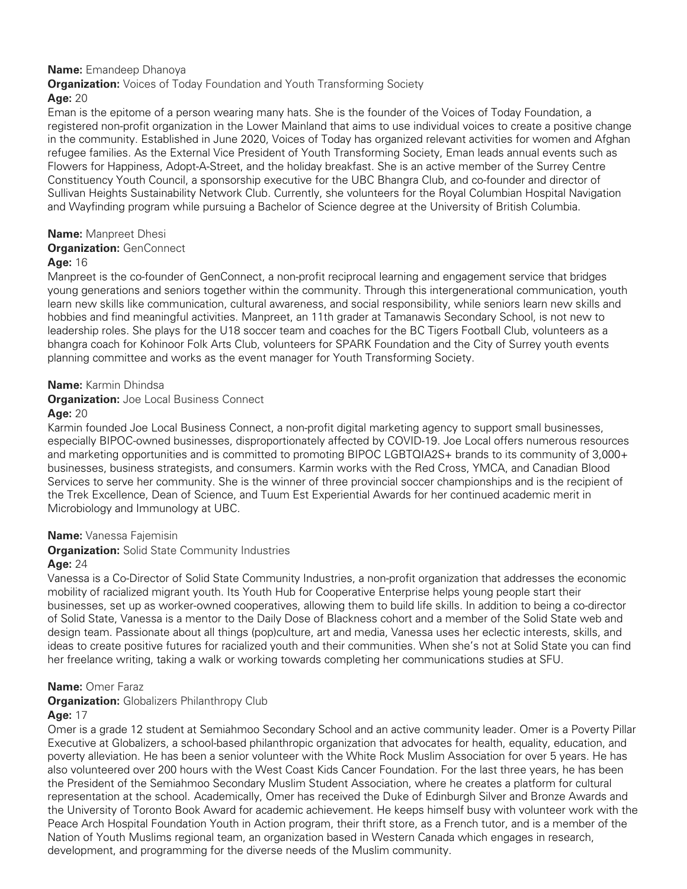# **Name:** Emandeep Dhanoya

**Organization:** Voices of Today Foundation and Youth Transforming Society

# **Age:** 20

Eman is the epitome of a person wearing many hats. She is the founder of the Voices of Today Foundation, a registered non-profit organization in the Lower Mainland that aims to use individual voices to create a positive change in the community. Established in June 2020, Voices of Today has organized relevant activities for women and Afghan refugee families. As the External Vice President of Youth Transforming Society, Eman leads annual events such as Flowers for Happiness, Adopt-A-Street, and the holiday breakfast. She is an active member of the Surrey Centre Constituency Youth Council, a sponsorship executive for the UBC Bhangra Club, and co-founder and director of Sullivan Heights Sustainability Network Club. Currently, she volunteers for the Royal Columbian Hospital Navigation and Wayfinding program while pursuing a Bachelor of Science degree at the University of British Columbia.

# **Name:** Manpreet Dhesi

## **Organization: GenConnect**

# **Age:** 16

Manpreet is the co-founder of GenConnect, a non-profit reciprocal learning and engagement service that bridges young generations and seniors together within the community. Through this intergenerational communication, youth learn new skills like communication, cultural awareness, and social responsibility, while seniors learn new skills and hobbies and find meaningful activities. Manpreet, an 11th grader at Tamanawis Secondary School, is not new to leadership roles. She plays for the U18 soccer team and coaches for the BC Tigers Football Club, volunteers as a bhangra coach for Kohinoor Folk Arts Club, volunteers for SPARK Foundation and the City of Surrey youth events planning committee and works as the event manager for Youth Transforming Society.

# **Name:** Karmin Dhindsa

**Organization:** Joe Local Business Connect

# **Age:** 20

Karmin founded Joe Local Business Connect, a non-profit digital marketing agency to support small businesses, especially BIPOC-owned businesses, disproportionately affected by COVID-19. Joe Local offers numerous resources and marketing opportunities and is committed to promoting BIPOC LGBTQIA2S+ brands to its community of 3,000+ businesses, business strategists, and consumers. Karmin works with the Red Cross, YMCA, and Canadian Blood Services to serve her community. She is the winner of three provincial soccer championships and is the recipient of the Trek Excellence, Dean of Science, and Tuum Est Experiential Awards for her continued academic merit in Microbiology and Immunology at UBC.

# **Name:** Vanessa Fajemisin

**Organization:** Solid State Community Industries

# **Age:** 24

Vanessa is a Co-Director of Solid State Community Industries, a non-profit organization that addresses the economic mobility of racialized migrant youth. Its Youth Hub for Cooperative Enterprise helps young people start their businesses, set up as worker-owned cooperatives, allowing them to build life skills. In addition to being a co-director of Solid State, Vanessa is a mentor to the Daily Dose of Blackness cohort and a member of the Solid State web and design team. Passionate about all things (pop)culture, art and media, Vanessa uses her eclectic interests, skills, and ideas to create positive futures for racialized youth and their communities. When she's not at Solid State you can find her freelance writing, taking a walk or working towards completing her communications studies at SFU.

# **Name:** Omer Faraz

# **Organization:** Globalizers Philanthropy Club

## **Age:** 17

Omer is a grade 12 student at Semiahmoo Secondary School and an active community leader. Omer is a Poverty Pillar Executive at Globalizers, a school-based philanthropic organization that advocates for health, equality, education, and poverty alleviation. He has been a senior volunteer with the White Rock Muslim Association for over 5 years. He has also volunteered over 200 hours with the West Coast Kids Cancer Foundation. For the last three years, he has been the President of the Semiahmoo Secondary Muslim Student Association, where he creates a platform for cultural representation at the school. Academically, Omer has received the Duke of Edinburgh Silver and Bronze Awards and the University of Toronto Book Award for academic achievement. He keeps himself busy with volunteer work with the Peace Arch Hospital Foundation Youth in Action program, their thrift store, as a French tutor, and is a member of the Nation of Youth Muslims regional team, an organization based in Western Canada which engages in research, development, and programming for the diverse needs of the Muslim community.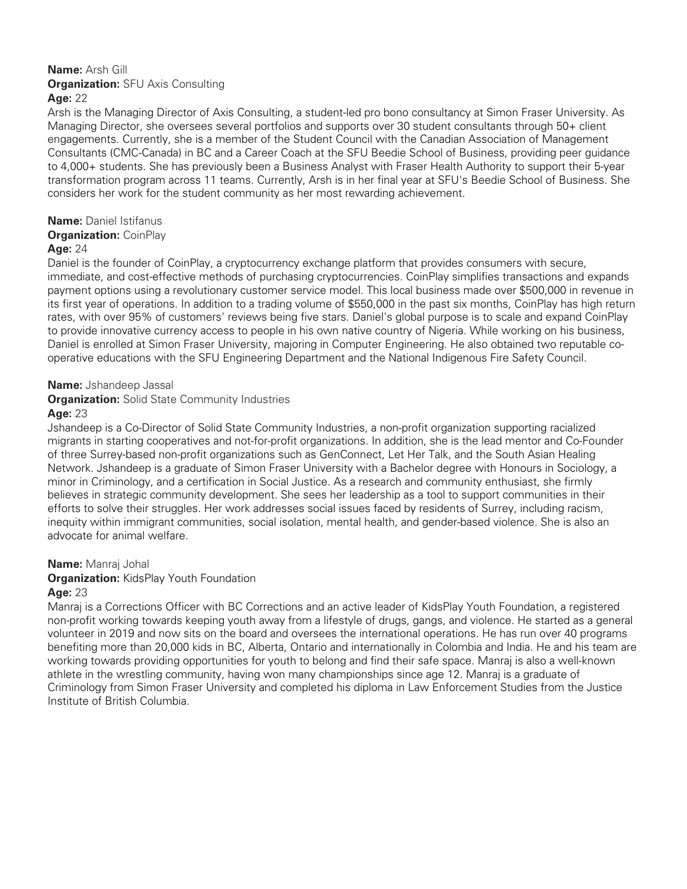#### **Name:** Arsh Gill **Organization:** SFU Axis Consulting **Age:** 22

Arsh is the Managing Director of Axis Consulting, a student-led pro bono consultancy at Simon Fraser University. As Managing Director, she oversees several portfolios and supports over 30 student consultants through 50+ client engagements. Currently, she is a member of the Student Council with the Canadian Association of Management Consultants (CMC-Canada) in BC and a Career Coach at the SFU Beedie School of Business, providing peer guidance to 4,000+ students. She has previously been a Business Analyst with Fraser Health Authority to support their 5-year transformation program across 11 teams. Currently, Arsh is in her final year at SFU's Beedie School of Business. She considers her work for the student community as her most rewarding achievement.

# **Name:** Daniel Istifanus

#### **Organization:** CoinPlay

## **Age:** 24

Daniel is the founder of CoinPlay, a cryptocurrency exchange platform that provides consumers with secure, immediate, and cost-effective methods of purchasing cryptocurrencies. CoinPlay simplifies transactions and expands payment options using a revolutionary customer service model. This local business made over \$500,000 in revenue in its first year of operations. In addition to a trading volume of \$550,000 in the past six months, CoinPlay has high return rates, with over 95% of customers' reviews being five stars. Daniel's global purpose is to scale and expand CoinPlay to provide innovative currency access to people in his own native country of Nigeria. While working on his business, Daniel is enrolled at Simon Fraser University, majoring in Computer Engineering. He also obtained two reputable cooperative educations with the SFU Engineering Department and the National Indigenous Fire Safety Council.

## **Name:** Jshandeep Jassal

**Organization:** Solid State Community Industries

## **Age:** 23

Jshandeep is a Co-Director of Solid State Community Industries, a non-profit organization supporting racialized migrants in starting cooperatives and not-for-profit organizations. In addition, she is the lead mentor and Co-Founder of three Surrey-based non-profit organizations such as GenConnect, Let Her Talk, and the South Asian Healing Network. Jshandeep is a graduate of Simon Fraser University with a Bachelor degree with Honours in Sociology, a minor in Criminology, and a certification in Social Justice. As a research and community enthusiast, she firmly believes in strategic community development. She sees her leadership as a tool to support communities in their efforts to solve their struggles. Her work addresses social issues faced by residents of Surrey, including racism, inequity within immigrant communities, social isolation, mental health, and gender-based violence. She is also an advocate for animal welfare.

## **Name:** Manraj Johal

## **Organization:** KidsPlay Youth Foundation

## **Age:** 23

Manraj is a Corrections Officer with BC Corrections and an active leader of KidsPlay Youth Foundation, a registered non-profit working towards keeping youth away from a lifestyle of drugs, gangs, and violence. He started as a general volunteer in 2019 and now sits on the board and oversees the international operations. He has run over 40 programs benefiting more than 20,000 kids in BC, Alberta, Ontario and internationally in Colombia and India. He and his team are working towards providing opportunities for youth to belong and find their safe space. Manraj is also a well-known athlete in the wrestling community, having won many championships since age 12. Manraj is a graduate of Criminology from Simon Fraser University and completed his diploma in Law Enforcement Studies from the Justice Institute of British Columbia.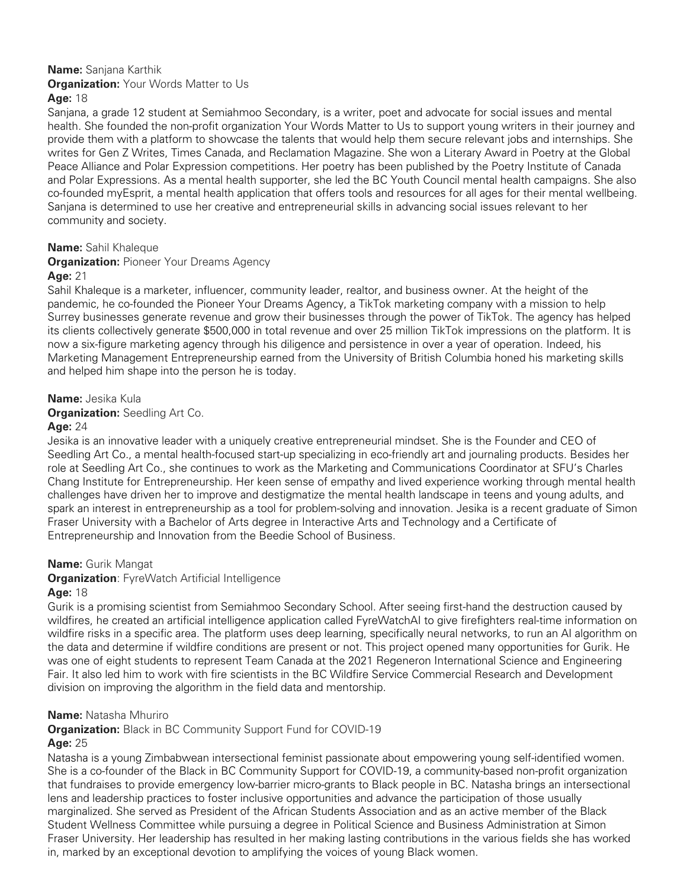# **Name:** Sanjana Karthik

#### **Organization:** Your Words Matter to Us

#### **Age:** 18

Sanjana, a grade 12 student at Semiahmoo Secondary, is a writer, poet and advocate for social issues and mental health. She founded the non-profit organization Your Words Matter to Us to support young writers in their journey and provide them with a platform to showcase the talents that would help them secure relevant jobs and internships. She writes for Gen Z Writes, Times Canada, and Reclamation Magazine. She won a Literary Award in Poetry at the Global Peace Alliance and Polar Expression competitions. Her poetry has been published by the Poetry Institute of Canada and Polar Expressions. As a mental health supporter, she led the BC Youth Council mental health campaigns. She also co-founded myEsprit, a mental health application that offers tools and resources for all ages for their mental wellbeing. Sanjana is determined to use her creative and entrepreneurial skills in advancing social issues relevant to her community and society.

#### **Name:** Sahil Khaleque

## **Organization: Pioneer Your Dreams Agency**

#### **Age:** 21

Sahil Khaleque is a marketer, influencer, community leader, realtor, and business owner. At the height of the pandemic, he co-founded the Pioneer Your Dreams Agency, a TikTok marketing company with a mission to help Surrey businesses generate revenue and grow their businesses through the power of TikTok. The agency has helped its clients collectively generate \$500,000 in total revenue and over 25 million TikTok impressions on the platform. It is now a six-figure marketing agency through his diligence and persistence in over a year of operation. Indeed, his Marketing Management Entrepreneurship earned from the University of British Columbia honed his marketing skills and helped him shape into the person he is today.

#### **Name:** Jesika Kula

**Organization:** Seedling Art Co.

#### **Age:** 24

Jesika is an innovative leader with a uniquely creative entrepreneurial mindset. She is the Founder and CEO of Seedling Art Co., a mental health-focused start-up specializing in eco-friendly art and journaling products. Besides her role at Seedling Art Co., she continues to work as the Marketing and Communications Coordinator at SFU's Charles Chang Institute for Entrepreneurship. Her keen sense of empathy and lived experience working through mental health challenges have driven her to improve and destigmatize the mental health landscape in teens and young adults, and spark an interest in entrepreneurship as a tool for problem-solving and innovation. Jesika is a recent graduate of Simon Fraser University with a Bachelor of Arts degree in Interactive Arts and Technology and a Certificate of Entrepreneurship and Innovation from the Beedie School of Business.

## **Name:** Gurik Mangat

## **Organization**: FyreWatch Artificial Intelligence

#### **Age:** 18

Gurik is a promising scientist from Semiahmoo Secondary School. After seeing first-hand the destruction caused by wildfires, he created an artificial intelligence application called FyreWatchAI to give firefighters real-time information on wildfire risks in a specific area. The platform uses deep learning, specifically neural networks, to run an AI algorithm on the data and determine if wildfire conditions are present or not. This project opened many opportunities for Gurik. He was one of eight students to represent Team Canada at the 2021 Regeneron International Science and Engineering Fair. It also led him to work with fire scientists in the BC Wildfire Service Commercial Research and Development division on improving the algorithm in the field data and mentorship.

#### **Name:** Natasha Mhuriro

#### **Organization:** Black in BC Community Support Fund for COVID-19

## **Age:** 25

Natasha is a young Zimbabwean intersectional feminist passionate about empowering young self-identified women. She is a co-founder of the Black in BC Community Support for COVID-19, a community-based non-profit organization that fundraises to provide emergency low-barrier micro-grants to Black people in BC. Natasha brings an intersectional lens and leadership practices to foster inclusive opportunities and advance the participation of those usually marginalized. She served as President of the African Students Association and as an active member of the Black Student Wellness Committee while pursuing a degree in Political Science and Business Administration at Simon Fraser University. Her leadership has resulted in her making lasting contributions in the various fields she has worked in, marked by an exceptional devotion to amplifying the voices of young Black women.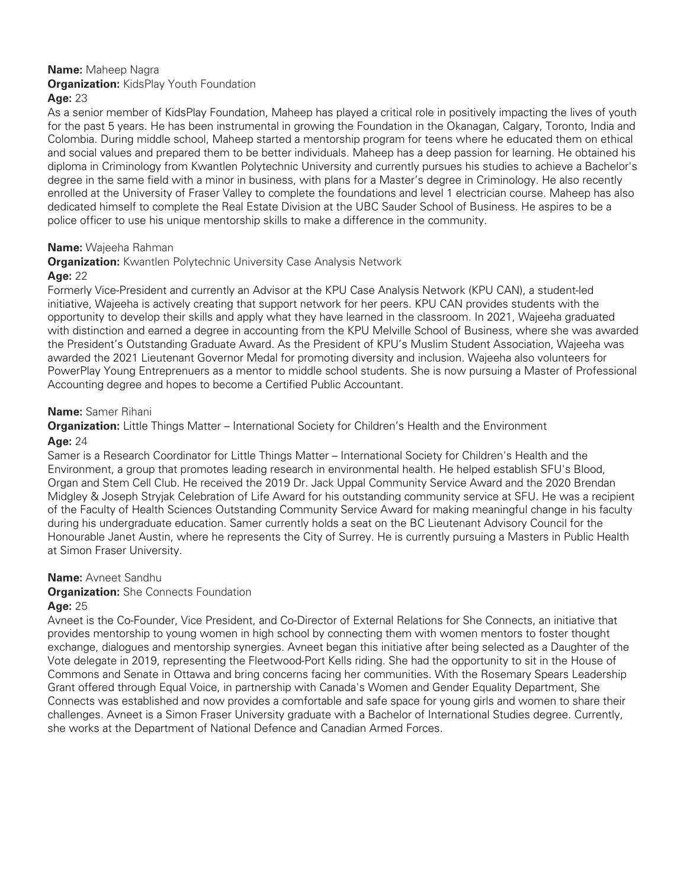# **Name:** Maheep Nagra **Organization:** KidsPlay Youth Foundation

# **Age:** 23

As a senior member of KidsPlay Foundation, Maheep has played a critical role in positively impacting the lives of youth for the past 5 years. He has been instrumental in growing the Foundation in the Okanagan, Calgary, Toronto, India and Colombia. During middle school, Maheep started a mentorship program for teens where he educated them on ethical and social values and prepared them to be better individuals. Maheep has a deep passion for learning. He obtained his diploma in Criminology from Kwantlen Polytechnic University and currently pursues his studies to achieve a Bachelor's degree in the same field with a minor in business, with plans for a Master's degree in Criminology. He also recently enrolled at the University of Fraser Valley to complete the foundations and level 1 electrician course. Maheep has also dedicated himself to complete the Real Estate Division at the UBC Sauder School of Business. He aspires to be a police officer to use his unique mentorship skills to make a difference in the community.

## **Name:** Wajeeha Rahman

**Organization:** Kwantlen Polytechnic University Case Analysis Network

# **Age:** 22

Formerly Vice-President and currently an Advisor at the KPU Case Analysis Network (KPU CAN), a student-led initiative, Wajeeha is actively creating that support network for her peers. KPU CAN provides students with the opportunity to develop their skills and apply what they have learned in the classroom. In 2021, Wajeeha graduated with distinction and earned a degree in accounting from the KPU Melville School of Business, where she was awarded the President's Outstanding Graduate Award. As the President of KPU's Muslim Student Association, Wajeeha was awarded the 2021 Lieutenant Governor Medal for promoting diversity and inclusion. Wajeeha also volunteers for PowerPlay Young Entreprenuers as a mentor to middle school students. She is now pursuing a Master of Professional Accounting degree and hopes to become a Certified Public Accountant.

# **Name:** Samer Rihani

**Organization:** Little Things Matter – International Society for Children's Health and the Environment **Age:** 24

Samer is a Research Coordinator for Little Things Matter – International Society for Children's Health and the Environment, a group that promotes leading research in environmental health. He helped establish SFU's Blood, Organ and Stem Cell Club. He received the 2019 Dr. Jack Uppal Community Service Award and the 2020 Brendan Midgley & Joseph Stryjak Celebration of Life Award for his outstanding community service at SFU. He was a recipient of the Faculty of Health Sciences Outstanding Community Service Award for making meaningful change in his faculty during his undergraduate education. Samer currently holds a seat on the BC Lieutenant Advisory Council for the Honourable Janet Austin, where he represents the City of Surrey. He is currently pursuing a Masters in Public Health at Simon Fraser University.

## **Name:** Avneet Sandhu

# **Organization:** She Connects Foundation

## **Age:** 25

Avneet is the Co-Founder, Vice President, and Co-Director of External Relations for She Connects, an initiative that provides mentorship to young women in high school by connecting them with women mentors to foster thought exchange, dialogues and mentorship synergies. Avneet began this initiative after being selected as a Daughter of the Vote delegate in 2019, representing the Fleetwood-Port Kells riding. She had the opportunity to sit in the House of Commons and Senate in Ottawa and bring concerns facing her communities. With the Rosemary Spears Leadership Grant offered through Equal Voice, in partnership with Canada's Women and Gender Equality Department, She Connects was established and now provides a comfortable and safe space for young girls and women to share their challenges. Avneet is a Simon Fraser University graduate with a Bachelor of International Studies degree. Currently, she works at the Department of National Defence and Canadian Armed Forces.